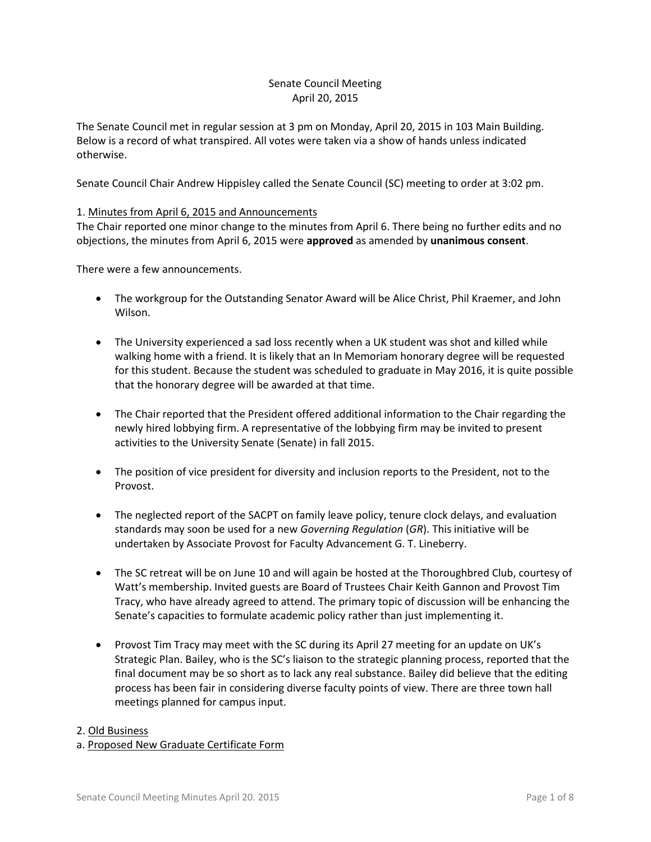## Senate Council Meeting April 20, 2015

The Senate Council met in regular session at 3 pm on Monday, April 20, 2015 in 103 Main Building. Below is a record of what transpired. All votes were taken via a show of hands unless indicated otherwise.

Senate Council Chair Andrew Hippisley called the Senate Council (SC) meeting to order at 3:02 pm.

## 1. Minutes from April 6, 2015 and Announcements

The Chair reported one minor change to the minutes from April 6. There being no further edits and no objections, the minutes from April 6, 2015 were **approved** as amended by **unanimous consent**.

There were a few announcements.

- The workgroup for the Outstanding Senator Award will be Alice Christ, Phil Kraemer, and John Wilson.
- The University experienced a sad loss recently when a UK student was shot and killed while walking home with a friend. It is likely that an In Memoriam honorary degree will be requested for this student. Because the student was scheduled to graduate in May 2016, it is quite possible that the honorary degree will be awarded at that time.
- The Chair reported that the President offered additional information to the Chair regarding the newly hired lobbying firm. A representative of the lobbying firm may be invited to present activities to the University Senate (Senate) in fall 2015.
- The position of vice president for diversity and inclusion reports to the President, not to the Provost.
- The neglected report of the SACPT on family leave policy, tenure clock delays, and evaluation standards may soon be used for a new *Governing Regulation* (*GR*). This initiative will be undertaken by Associate Provost for Faculty Advancement G. T. Lineberry.
- The SC retreat will be on June 10 and will again be hosted at the Thoroughbred Club, courtesy of Watt's membership. Invited guests are Board of Trustees Chair Keith Gannon and Provost Tim Tracy, who have already agreed to attend. The primary topic of discussion will be enhancing the Senate's capacities to formulate academic policy rather than just implementing it.
- Provost Tim Tracy may meet with the SC during its April 27 meeting for an update on UK's Strategic Plan. Bailey, who is the SC's liaison to the strategic planning process, reported that the final document may be so short as to lack any real substance. Bailey did believe that the editing process has been fair in considering diverse faculty points of view. There are three town hall meetings planned for campus input.

#### 2. Old Business

## a. Proposed New Graduate Certificate Form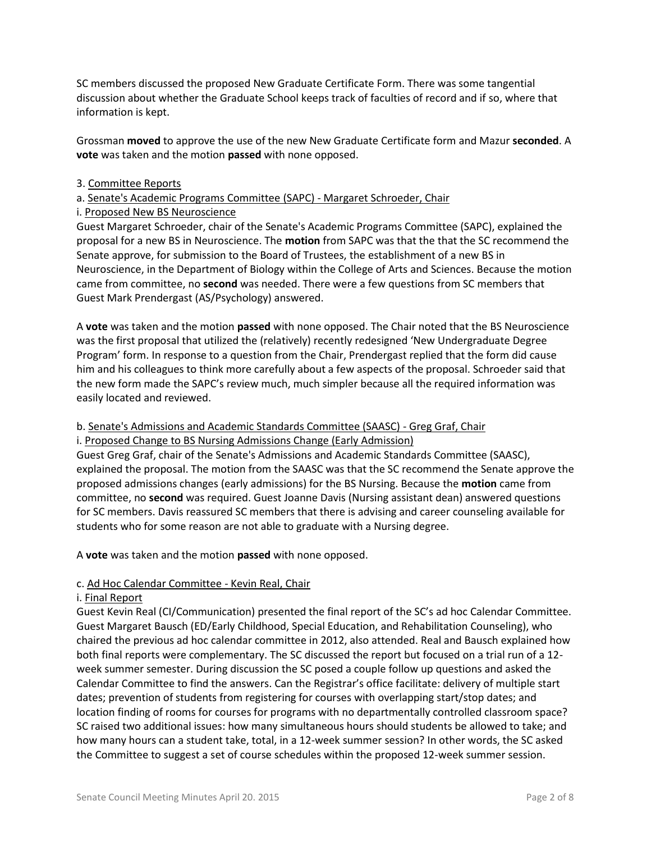SC members discussed the proposed New Graduate Certificate Form. There was some tangential discussion about whether the Graduate School keeps track of faculties of record and if so, where that information is kept.

Grossman **moved** to approve the use of the new New Graduate Certificate form and Mazur **seconded**. A **vote** was taken and the motion **passed** with none opposed.

### 3. Committee Reports

### a. Senate's Academic Programs Committee (SAPC) - Margaret Schroeder, Chair

#### i. Proposed New BS Neuroscience

Guest Margaret Schroeder, chair of the Senate's Academic Programs Committee (SAPC), explained the proposal for a new BS in Neuroscience. The **motion** from SAPC was that the that the SC recommend the Senate approve, for submission to the Board of Trustees, the establishment of a new BS in Neuroscience, in the Department of Biology within the College of Arts and Sciences. Because the motion came from committee, no **second** was needed. There were a few questions from SC members that Guest Mark Prendergast (AS/Psychology) answered.

A **vote** was taken and the motion **passed** with none opposed. The Chair noted that the BS Neuroscience was the first proposal that utilized the (relatively) recently redesigned 'New Undergraduate Degree Program' form. In response to a question from the Chair, Prendergast replied that the form did cause him and his colleagues to think more carefully about a few aspects of the proposal. Schroeder said that the new form made the SAPC's review much, much simpler because all the required information was easily located and reviewed.

#### b. Senate's Admissions and Academic Standards Committee (SAASC) - Greg Graf, Chair i. Proposed Change to BS Nursing Admissions Change (Early Admission)

Guest Greg Graf, chair of the Senate's Admissions and Academic Standards Committee (SAASC), explained the proposal. The motion from the SAASC was that the SC recommend the Senate approve the proposed admissions changes (early admissions) for the BS Nursing. Because the **motion** came from committee, no **second** was required. Guest Joanne Davis (Nursing assistant dean) answered questions for SC members. Davis reassured SC members that there is advising and career counseling available for students who for some reason are not able to graduate with a Nursing degree.

A **vote** was taken and the motion **passed** with none opposed.

## c. Ad Hoc Calendar Committee - Kevin Real, Chair

#### i. Final Report

Guest Kevin Real (CI/Communication) presented the final report of the SC's ad hoc Calendar Committee. Guest Margaret Bausch (ED/Early Childhood, Special Education, and Rehabilitation Counseling), who chaired the previous ad hoc calendar committee in 2012, also attended. Real and Bausch explained how both final reports were complementary. The SC discussed the report but focused on a trial run of a 12 week summer semester. During discussion the SC posed a couple follow up questions and asked the Calendar Committee to find the answers. Can the Registrar's office facilitate: delivery of multiple start dates; prevention of students from registering for courses with overlapping start/stop dates; and location finding of rooms for courses for programs with no departmentally controlled classroom space? SC raised two additional issues: how many simultaneous hours should students be allowed to take; and how many hours can a student take, total, in a 12-week summer session? In other words, the SC asked the Committee to suggest a set of course schedules within the proposed 12-week summer session.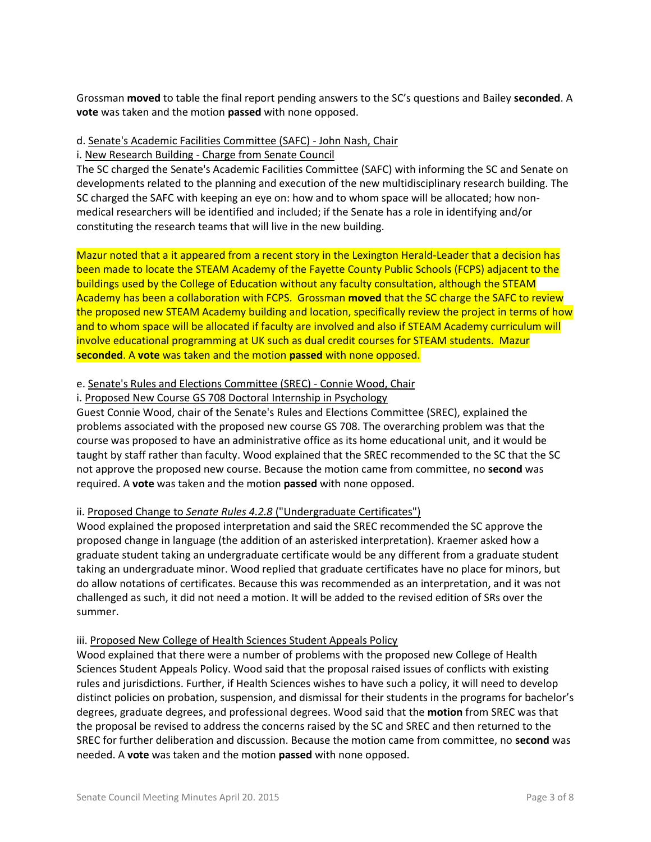Grossman **moved** to table the final report pending answers to the SC's questions and Bailey **seconded**. A **vote** was taken and the motion **passed** with none opposed.

## d. Senate's Academic Facilities Committee (SAFC) - John Nash, Chair

i. New Research Building - Charge from Senate Council

The SC charged the Senate's Academic Facilities Committee (SAFC) with informing the SC and Senate on developments related to the planning and execution of the new multidisciplinary research building. The SC charged the SAFC with keeping an eye on: how and to whom space will be allocated; how nonmedical researchers will be identified and included; if the Senate has a role in identifying and/or constituting the research teams that will live in the new building.

Mazur noted that a it appeared from a recent story in the Lexington Herald-Leader that a decision has been made to locate the STEAM Academy of the Fayette County Public Schools (FCPS) adjacent to the buildings used by the College of Education without any faculty consultation, although the STEAM Academy has been a collaboration with FCPS. Grossman **moved** that the SC charge the SAFC to review the proposed new STEAM Academy building and location, specifically review the project in terms of how and to whom space will be allocated if faculty are involved and also if STEAM Academy curriculum will involve educational programming at UK such as dual credit courses for STEAM students. Mazur **seconded**. A **vote** was taken and the motion **passed** with none opposed.

## e. Senate's Rules and Elections Committee (SREC) - Connie Wood, Chair

i. Proposed New Course GS 708 Doctoral Internship in Psychology

Guest Connie Wood, chair of the Senate's Rules and Elections Committee (SREC), explained the problems associated with the proposed new course GS 708. The overarching problem was that the course was proposed to have an administrative office as its home educational unit, and it would be taught by staff rather than faculty. Wood explained that the SREC recommended to the SC that the SC not approve the proposed new course. Because the motion came from committee, no **second** was required. A **vote** was taken and the motion **passed** with none opposed.

## ii. Proposed Change to *Senate Rules 4.2.8* ("Undergraduate Certificates")

Wood explained the proposed interpretation and said the SREC recommended the SC approve the proposed change in language (the addition of an asterisked interpretation). Kraemer asked how a graduate student taking an undergraduate certificate would be any different from a graduate student taking an undergraduate minor. Wood replied that graduate certificates have no place for minors, but do allow notations of certificates. Because this was recommended as an interpretation, and it was not challenged as such, it did not need a motion. It will be added to the revised edition of SRs over the summer.

## iii. Proposed New College of Health Sciences Student Appeals Policy

Wood explained that there were a number of problems with the proposed new College of Health Sciences Student Appeals Policy. Wood said that the proposal raised issues of conflicts with existing rules and jurisdictions. Further, if Health Sciences wishes to have such a policy, it will need to develop distinct policies on probation, suspension, and dismissal for their students in the programs for bachelor's degrees, graduate degrees, and professional degrees. Wood said that the **motion** from SREC was that the proposal be revised to address the concerns raised by the SC and SREC and then returned to the SREC for further deliberation and discussion. Because the motion came from committee, no **second** was needed. A **vote** was taken and the motion **passed** with none opposed.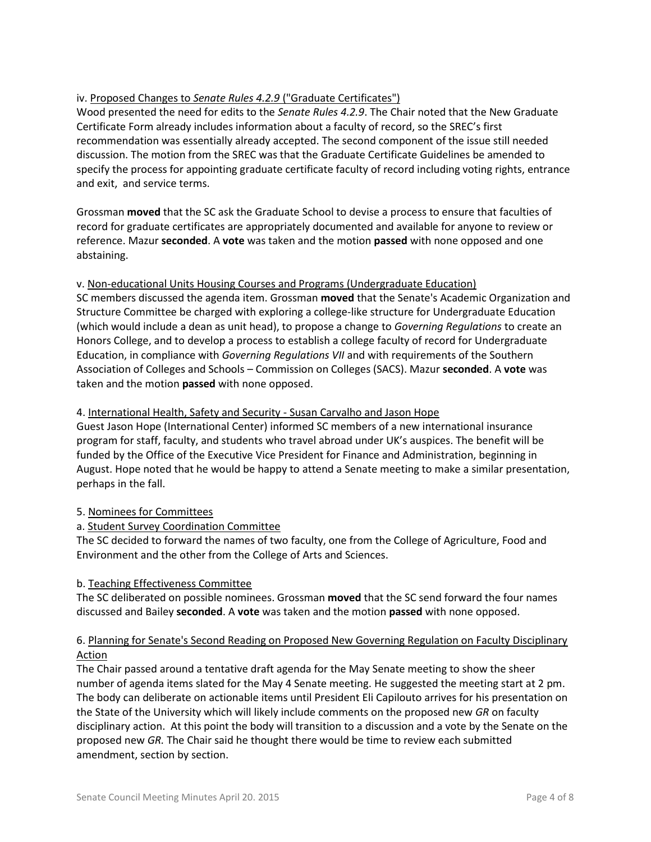# iv. Proposed Changes to *Senate Rules 4.2.9* ("Graduate Certificates")

Wood presented the need for edits to the *Senate Rules 4.2.9*. The Chair noted that the New Graduate Certificate Form already includes information about a faculty of record, so the SREC's first recommendation was essentially already accepted. The second component of the issue still needed discussion. The motion from the SREC was that the Graduate Certificate Guidelines be amended to specify the process for appointing graduate certificate faculty of record including voting rights, entrance and exit, and service terms.

Grossman **moved** that the SC ask the Graduate School to devise a process to ensure that faculties of record for graduate certificates are appropriately documented and available for anyone to review or reference. Mazur **seconded**. A **vote** was taken and the motion **passed** with none opposed and one abstaining.

## v. Non-educational Units Housing Courses and Programs (Undergraduate Education)

SC members discussed the agenda item. Grossman **moved** that the Senate's Academic Organization and Structure Committee be charged with exploring a college-like structure for Undergraduate Education (which would include a dean as unit head), to propose a change to *Governing Regulations* to create an Honors College, and to develop a process to establish a college faculty of record for Undergraduate Education, in compliance with *Governing Regulations VII* and with requirements of the Southern Association of Colleges and Schools – Commission on Colleges (SACS). Mazur **seconded**. A **vote** was taken and the motion **passed** with none opposed.

## 4. International Health, Safety and Security - Susan Carvalho and Jason Hope

Guest Jason Hope (International Center) informed SC members of a new international insurance program for staff, faculty, and students who travel abroad under UK's auspices. The benefit will be funded by the Office of the Executive Vice President for Finance and Administration, beginning in August. Hope noted that he would be happy to attend a Senate meeting to make a similar presentation, perhaps in the fall.

# 5. Nominees for Committees

# a. Student Survey Coordination Committee

The SC decided to forward the names of two faculty, one from the College of Agriculture, Food and Environment and the other from the College of Arts and Sciences.

## b. Teaching Effectiveness Committee

The SC deliberated on possible nominees. Grossman **moved** that the SC send forward the four names discussed and Bailey **seconded**. A **vote** was taken and the motion **passed** with none opposed.

# 6. Planning for Senate's Second Reading on Proposed New Governing Regulation on Faculty Disciplinary Action

The Chair passed around a tentative draft agenda for the May Senate meeting to show the sheer number of agenda items slated for the May 4 Senate meeting. He suggested the meeting start at 2 pm. The body can deliberate on actionable items until President Eli Capilouto arrives for his presentation on the State of the University which will likely include comments on the proposed new *GR* on faculty disciplinary action. At this point the body will transition to a discussion and a vote by the Senate on the proposed new *GR.* The Chair said he thought there would be time to review each submitted amendment, section by section.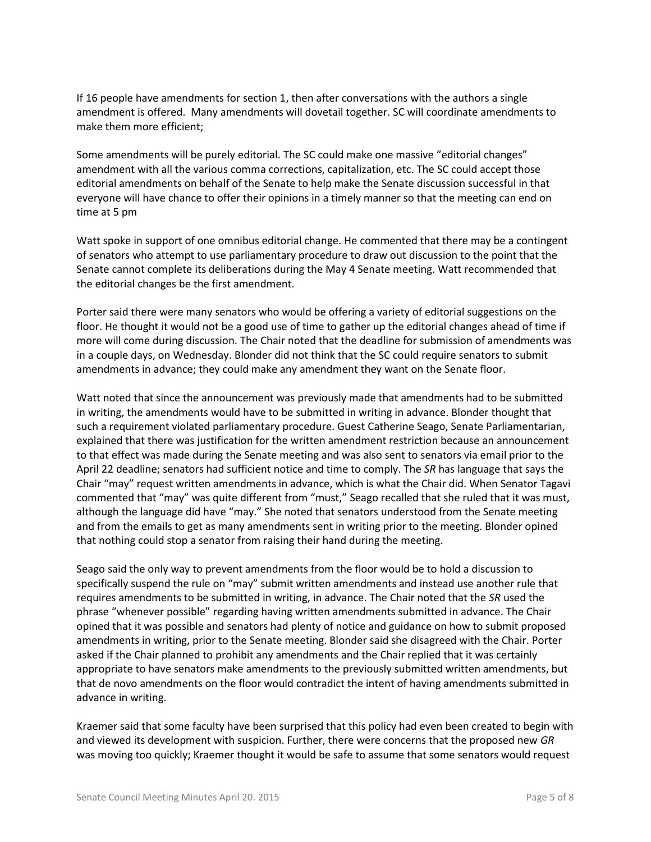If 16 people have amendments for section 1, then after conversations with the authors a single amendment is offered. Many amendments will dovetail together. SC will coordinate amendments to make them more efficient;

Some amendments will be purely editorial. The SC could make one massive "editorial changes" amendment with all the various comma corrections, capitalization, etc. The SC could accept those editorial amendments on behalf of the Senate to help make the Senate discussion successful in that everyone will have chance to offer their opinions in a timely manner so that the meeting can end on time at 5 pm

Watt spoke in support of one omnibus editorial change. He commented that there may be a contingent of senators who attempt to use parliamentary procedure to draw out discussion to the point that the Senate cannot complete its deliberations during the May 4 Senate meeting. Watt recommended that the editorial changes be the first amendment.

Porter said there were many senators who would be offering a variety of editorial suggestions on the floor. He thought it would not be a good use of time to gather up the editorial changes ahead of time if more will come during discussion. The Chair noted that the deadline for submission of amendments was in a couple days, on Wednesday. Blonder did not think that the SC could require senators to submit amendments in advance; they could make any amendment they want on the Senate floor.

Watt noted that since the announcement was previously made that amendments had to be submitted in writing, the amendments would have to be submitted in writing in advance. Blonder thought that such a requirement violated parliamentary procedure. Guest Catherine Seago, Senate Parliamentarian, explained that there was justification for the written amendment restriction because an announcement to that effect was made during the Senate meeting and was also sent to senators via email prior to the April 22 deadline; senators had sufficient notice and time to comply. The *SR* has language that says the Chair "may" request written amendments in advance, which is what the Chair did. When Senator Tagavi commented that "may" was quite different from "must," Seago recalled that she ruled that it was must, although the language did have "may." She noted that senators understood from the Senate meeting and from the emails to get as many amendments sent in writing prior to the meeting. Blonder opined that nothing could stop a senator from raising their hand during the meeting.

Seago said the only way to prevent amendments from the floor would be to hold a discussion to specifically suspend the rule on "may" submit written amendments and instead use another rule that requires amendments to be submitted in writing, in advance. The Chair noted that the *SR* used the phrase "whenever possible" regarding having written amendments submitted in advance. The Chair opined that it was possible and senators had plenty of notice and guidance on how to submit proposed amendments in writing, prior to the Senate meeting. Blonder said she disagreed with the Chair. Porter asked if the Chair planned to prohibit any amendments and the Chair replied that it was certainly appropriate to have senators make amendments to the previously submitted written amendments, but that de novo amendments on the floor would contradict the intent of having amendments submitted in advance in writing.

Kraemer said that some faculty have been surprised that this policy had even been created to begin with and viewed its development with suspicion. Further, there were concerns that the proposed new *GR* was moving too quickly; Kraemer thought it would be safe to assume that some senators would request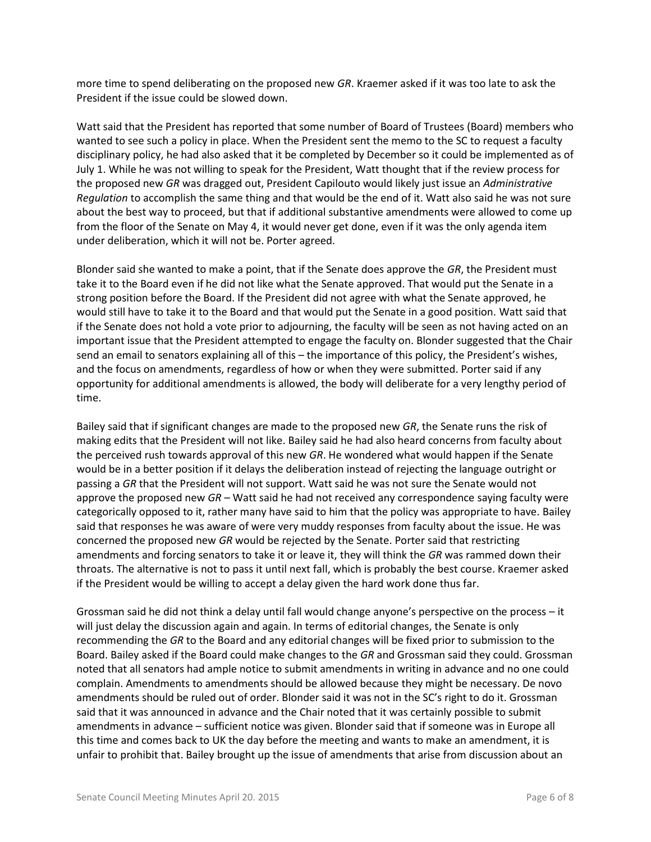more time to spend deliberating on the proposed new *GR*. Kraemer asked if it was too late to ask the President if the issue could be slowed down.

Watt said that the President has reported that some number of Board of Trustees (Board) members who wanted to see such a policy in place. When the President sent the memo to the SC to request a faculty disciplinary policy, he had also asked that it be completed by December so it could be implemented as of July 1. While he was not willing to speak for the President, Watt thought that if the review process for the proposed new *GR* was dragged out, President Capilouto would likely just issue an *Administrative Regulation* to accomplish the same thing and that would be the end of it. Watt also said he was not sure about the best way to proceed, but that if additional substantive amendments were allowed to come up from the floor of the Senate on May 4, it would never get done, even if it was the only agenda item under deliberation, which it will not be. Porter agreed.

Blonder said she wanted to make a point, that if the Senate does approve the *GR*, the President must take it to the Board even if he did not like what the Senate approved. That would put the Senate in a strong position before the Board. If the President did not agree with what the Senate approved, he would still have to take it to the Board and that would put the Senate in a good position. Watt said that if the Senate does not hold a vote prior to adjourning, the faculty will be seen as not having acted on an important issue that the President attempted to engage the faculty on. Blonder suggested that the Chair send an email to senators explaining all of this – the importance of this policy, the President's wishes, and the focus on amendments, regardless of how or when they were submitted. Porter said if any opportunity for additional amendments is allowed, the body will deliberate for a very lengthy period of time.

Bailey said that if significant changes are made to the proposed new *GR*, the Senate runs the risk of making edits that the President will not like. Bailey said he had also heard concerns from faculty about the perceived rush towards approval of this new *GR*. He wondered what would happen if the Senate would be in a better position if it delays the deliberation instead of rejecting the language outright or passing a *GR* that the President will not support. Watt said he was not sure the Senate would not approve the proposed new *GR* – Watt said he had not received any correspondence saying faculty were categorically opposed to it, rather many have said to him that the policy was appropriate to have. Bailey said that responses he was aware of were very muddy responses from faculty about the issue. He was concerned the proposed new *GR* would be rejected by the Senate. Porter said that restricting amendments and forcing senators to take it or leave it, they will think the *GR* was rammed down their throats. The alternative is not to pass it until next fall, which is probably the best course. Kraemer asked if the President would be willing to accept a delay given the hard work done thus far.

Grossman said he did not think a delay until fall would change anyone's perspective on the process – it will just delay the discussion again and again. In terms of editorial changes, the Senate is only recommending the *GR* to the Board and any editorial changes will be fixed prior to submission to the Board. Bailey asked if the Board could make changes to the *GR* and Grossman said they could. Grossman noted that all senators had ample notice to submit amendments in writing in advance and no one could complain. Amendments to amendments should be allowed because they might be necessary. De novo amendments should be ruled out of order. Blonder said it was not in the SC's right to do it. Grossman said that it was announced in advance and the Chair noted that it was certainly possible to submit amendments in advance – sufficient notice was given. Blonder said that if someone was in Europe all this time and comes back to UK the day before the meeting and wants to make an amendment, it is unfair to prohibit that. Bailey brought up the issue of amendments that arise from discussion about an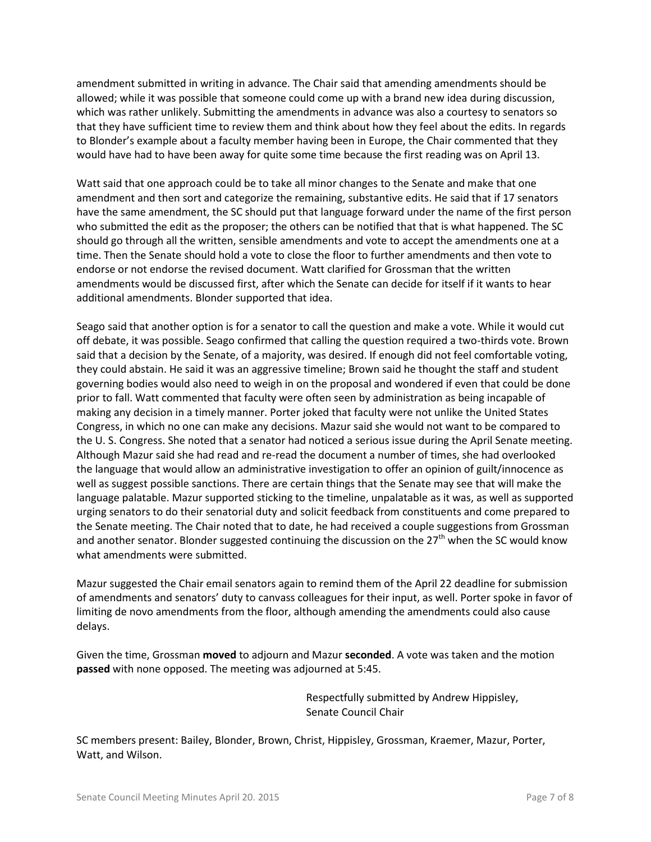amendment submitted in writing in advance. The Chair said that amending amendments should be allowed; while it was possible that someone could come up with a brand new idea during discussion, which was rather unlikely. Submitting the amendments in advance was also a courtesy to senators so that they have sufficient time to review them and think about how they feel about the edits. In regards to Blonder's example about a faculty member having been in Europe, the Chair commented that they would have had to have been away for quite some time because the first reading was on April 13.

Watt said that one approach could be to take all minor changes to the Senate and make that one amendment and then sort and categorize the remaining, substantive edits. He said that if 17 senators have the same amendment, the SC should put that language forward under the name of the first person who submitted the edit as the proposer; the others can be notified that that is what happened. The SC should go through all the written, sensible amendments and vote to accept the amendments one at a time. Then the Senate should hold a vote to close the floor to further amendments and then vote to endorse or not endorse the revised document. Watt clarified for Grossman that the written amendments would be discussed first, after which the Senate can decide for itself if it wants to hear additional amendments. Blonder supported that idea.

Seago said that another option is for a senator to call the question and make a vote. While it would cut off debate, it was possible. Seago confirmed that calling the question required a two-thirds vote. Brown said that a decision by the Senate, of a majority, was desired. If enough did not feel comfortable voting, they could abstain. He said it was an aggressive timeline; Brown said he thought the staff and student governing bodies would also need to weigh in on the proposal and wondered if even that could be done prior to fall. Watt commented that faculty were often seen by administration as being incapable of making any decision in a timely manner. Porter joked that faculty were not unlike the United States Congress, in which no one can make any decisions. Mazur said she would not want to be compared to the U. S. Congress. She noted that a senator had noticed a serious issue during the April Senate meeting. Although Mazur said she had read and re-read the document a number of times, she had overlooked the language that would allow an administrative investigation to offer an opinion of guilt/innocence as well as suggest possible sanctions. There are certain things that the Senate may see that will make the language palatable. Mazur supported sticking to the timeline, unpalatable as it was, as well as supported urging senators to do their senatorial duty and solicit feedback from constituents and come prepared to the Senate meeting. The Chair noted that to date, he had received a couple suggestions from Grossman and another senator. Blonder suggested continuing the discussion on the  $27<sup>th</sup>$  when the SC would know what amendments were submitted.

Mazur suggested the Chair email senators again to remind them of the April 22 deadline for submission of amendments and senators' duty to canvass colleagues for their input, as well. Porter spoke in favor of limiting de novo amendments from the floor, although amending the amendments could also cause delays.

Given the time, Grossman **moved** to adjourn and Mazur **seconded**. A vote was taken and the motion **passed** with none opposed. The meeting was adjourned at 5:45.

> Respectfully submitted by Andrew Hippisley, Senate Council Chair

SC members present: Bailey, Blonder, Brown, Christ, Hippisley, Grossman, Kraemer, Mazur, Porter, Watt, and Wilson.